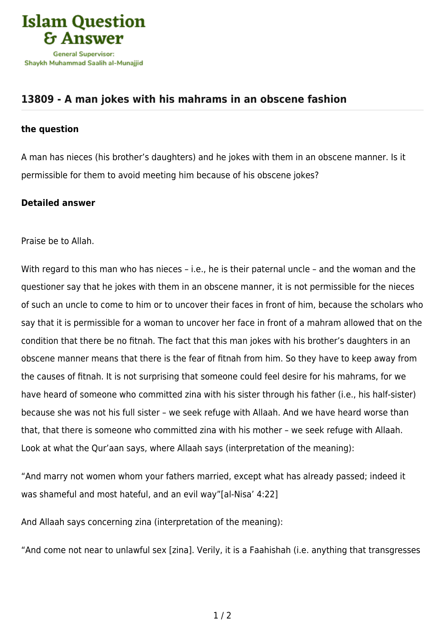

## **[13809 - A man jokes with his mahrams in an obscene fashion](https://islamqa.info/en/answers/13809/a-man-jokes-with-his-mahrams-in-an-obscene-fashion)**

## **the question**

A man has nieces (his brother's daughters) and he jokes with them in an obscene manner. Is it permissible for them to avoid meeting him because of his obscene jokes?

## **Detailed answer**

Praise be to Allah.

With regard to this man who has nieces - i.e., he is their paternal uncle - and the woman and the questioner say that he jokes with them in an obscene manner, it is not permissible for the nieces of such an uncle to come to him or to uncover their faces in front of him, because the scholars who say that it is permissible for a woman to uncover her face in front of a mahram allowed that on the condition that there be no fitnah. The fact that this man jokes with his brother's daughters in an obscene manner means that there is the fear of fitnah from him. So they have to keep away from the causes of fitnah. It is not surprising that someone could feel desire for his mahrams, for we have heard of someone who committed zina with his sister through his father (i.e., his half-sister) because she was not his full sister – we seek refuge with Allaah. And we have heard worse than that, that there is someone who committed zina with his mother – we seek refuge with Allaah. Look at what the Qur'aan says, where Allaah says (interpretation of the meaning):

"And marry not women whom your fathers married, except what has already passed; indeed it was shameful and most hateful, and an evil way"[al-Nisa' 4:22]

And Allaah says concerning zina (interpretation of the meaning):

"And come not near to unlawful sex [zina]. Verily, it is a Faahishah (i.e. anything that transgresses